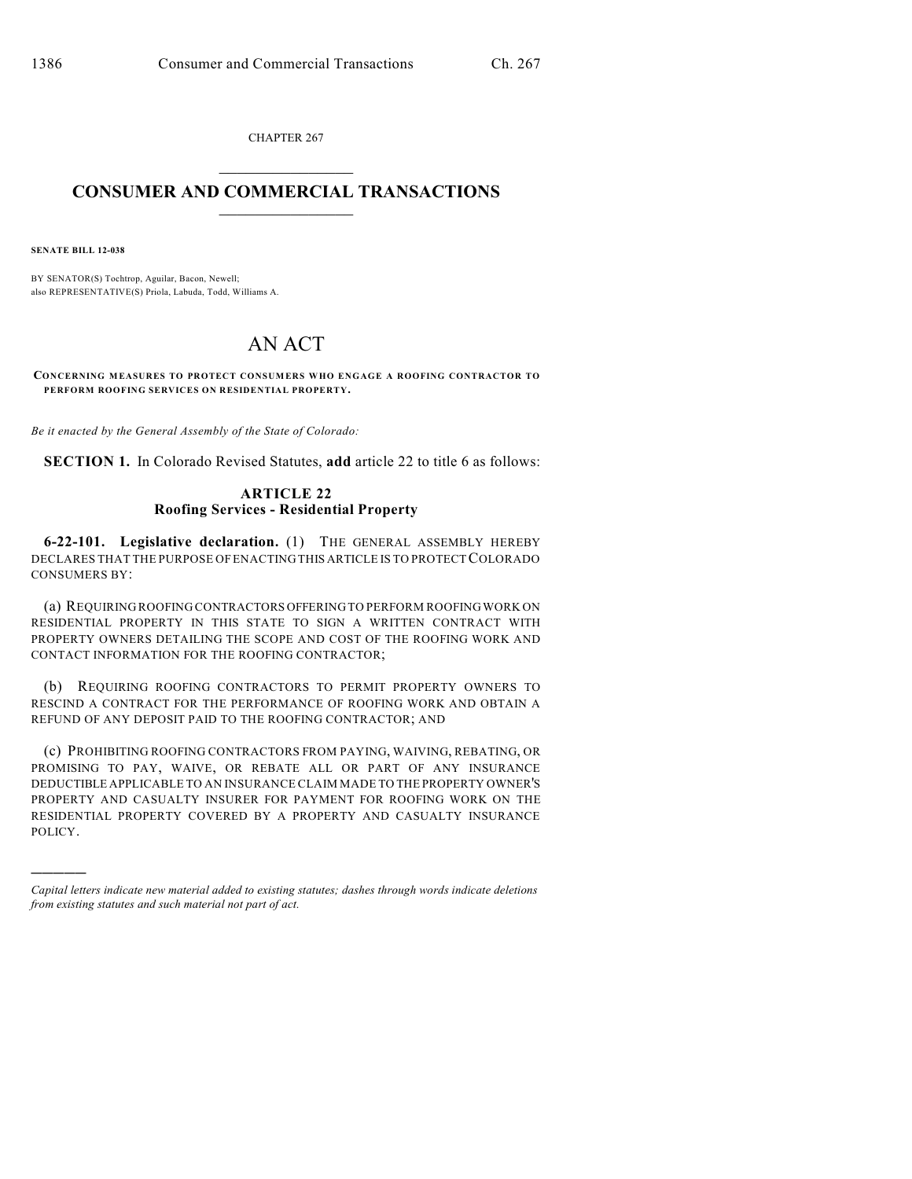CHAPTER 267  $\overline{\phantom{a}}$  . The set of the set of the set of the set of the set of the set of the set of the set of the set of the set of the set of the set of the set of the set of the set of the set of the set of the set of the set o

## **CONSUMER AND COMMERCIAL TRANSACTIONS**  $\frac{1}{2}$  ,  $\frac{1}{2}$  ,  $\frac{1}{2}$  ,  $\frac{1}{2}$  ,  $\frac{1}{2}$  ,  $\frac{1}{2}$

**SENATE BILL 12-038**

)))))

BY SENATOR(S) Tochtrop, Aguilar, Bacon, Newell; also REPRESENTATIVE(S) Priola, Labuda, Todd, Williams A.

## AN ACT

**CONCERNING MEASURES TO PROTECT CONSUMERS WHO ENGAGE A ROOFING CONTRACTOR TO PERFORM ROOFING SERVICES ON RESIDENTIAL PROPERTY.**

*Be it enacted by the General Assembly of the State of Colorado:*

**SECTION 1.** In Colorado Revised Statutes, **add** article 22 to title 6 as follows:

## **ARTICLE 22 Roofing Services - Residential Property**

**6-22-101. Legislative declaration.** (1) THE GENERAL ASSEMBLY HEREBY DECLARES THAT THE PURPOSE OF ENACTING THIS ARTICLE IS TO PROTECTCOLORADO CONSUMERS BY:

(a) REQUIRING ROOFING CONTRACTORS OFFERING TO PERFORM ROOFING WORK ON RESIDENTIAL PROPERTY IN THIS STATE TO SIGN A WRITTEN CONTRACT WITH PROPERTY OWNERS DETAILING THE SCOPE AND COST OF THE ROOFING WORK AND CONTACT INFORMATION FOR THE ROOFING CONTRACTOR;

(b) REQUIRING ROOFING CONTRACTORS TO PERMIT PROPERTY OWNERS TO RESCIND A CONTRACT FOR THE PERFORMANCE OF ROOFING WORK AND OBTAIN A REFUND OF ANY DEPOSIT PAID TO THE ROOFING CONTRACTOR; AND

(c) PROHIBITING ROOFING CONTRACTORS FROM PAYING, WAIVING, REBATING, OR PROMISING TO PAY, WAIVE, OR REBATE ALL OR PART OF ANY INSURANCE DEDUCTIBLE APPLICABLE TO AN INSURANCE CLAIM MADE TO THE PROPERTY OWNER'S PROPERTY AND CASUALTY INSURER FOR PAYMENT FOR ROOFING WORK ON THE RESIDENTIAL PROPERTY COVERED BY A PROPERTY AND CASUALTY INSURANCE POLICY.

*Capital letters indicate new material added to existing statutes; dashes through words indicate deletions from existing statutes and such material not part of act.*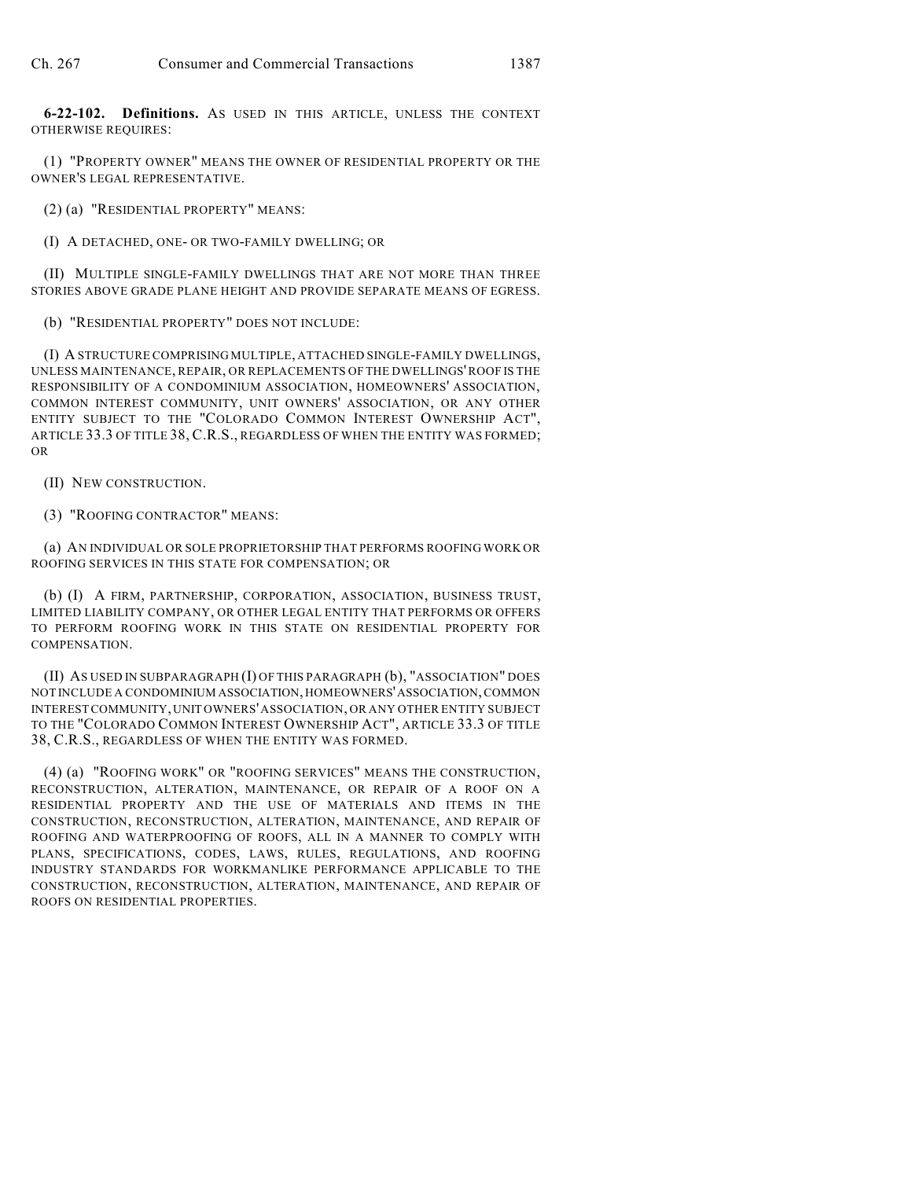**6-22-102. Definitions.** AS USED IN THIS ARTICLE, UNLESS THE CONTEXT OTHERWISE REQUIRES:

(1) "PROPERTY OWNER" MEANS THE OWNER OF RESIDENTIAL PROPERTY OR THE OWNER'S LEGAL REPRESENTATIVE.

(2) (a) "RESIDENTIAL PROPERTY" MEANS:

(I) A DETACHED, ONE- OR TWO-FAMILY DWELLING; OR

(II) MULTIPLE SINGLE-FAMILY DWELLINGS THAT ARE NOT MORE THAN THREE STORIES ABOVE GRADE PLANE HEIGHT AND PROVIDE SEPARATE MEANS OF EGRESS.

(b) "RESIDENTIAL PROPERTY" DOES NOT INCLUDE:

(I) A STRUCTURE COMPRISING MULTIPLE, ATTACHED SINGLE-FAMILY DWELLINGS, UNLESS MAINTENANCE, REPAIR, OR REPLACEMENTS OF THE DWELLINGS'ROOF IS THE RESPONSIBILITY OF A CONDOMINIUM ASSOCIATION, HOMEOWNERS' ASSOCIATION, COMMON INTEREST COMMUNITY, UNIT OWNERS' ASSOCIATION, OR ANY OTHER ENTITY SUBJECT TO THE "COLORADO COMMON INTEREST OWNERSHIP ACT", ARTICLE 33.3 OF TITLE 38, C.R.S., REGARDLESS OF WHEN THE ENTITY WAS FORMED; OR

(II) NEW CONSTRUCTION.

(3) "ROOFING CONTRACTOR" MEANS:

(a) AN INDIVIDUAL OR SOLE PROPRIETORSHIP THAT PERFORMS ROOFING WORK OR ROOFING SERVICES IN THIS STATE FOR COMPENSATION; OR

(b) (I) A FIRM, PARTNERSHIP, CORPORATION, ASSOCIATION, BUSINESS TRUST, LIMITED LIABILITY COMPANY, OR OTHER LEGAL ENTITY THAT PERFORMS OR OFFERS TO PERFORM ROOFING WORK IN THIS STATE ON RESIDENTIAL PROPERTY FOR COMPENSATION.

(II) AS USED IN SUBPARAGRAPH (I) OF THIS PARAGRAPH (b), "ASSOCIATION" DOES NOT INCLUDE A CONDOMINIUM ASSOCIATION, HOMEOWNERS'ASSOCIATION,COMMON INTEREST COMMUNITY, UNIT OWNERS'ASSOCIATION, OR ANY OTHER ENTITY SUBJECT TO THE "COLORADO COMMON INTEREST OWNERSHIP ACT", ARTICLE 33.3 OF TITLE 38, C.R.S., REGARDLESS OF WHEN THE ENTITY WAS FORMED.

(4) (a) "ROOFING WORK" OR "ROOFING SERVICES" MEANS THE CONSTRUCTION, RECONSTRUCTION, ALTERATION, MAINTENANCE, OR REPAIR OF A ROOF ON A RESIDENTIAL PROPERTY AND THE USE OF MATERIALS AND ITEMS IN THE CONSTRUCTION, RECONSTRUCTION, ALTERATION, MAINTENANCE, AND REPAIR OF ROOFING AND WATERPROOFING OF ROOFS, ALL IN A MANNER TO COMPLY WITH PLANS, SPECIFICATIONS, CODES, LAWS, RULES, REGULATIONS, AND ROOFING INDUSTRY STANDARDS FOR WORKMANLIKE PERFORMANCE APPLICABLE TO THE CONSTRUCTION, RECONSTRUCTION, ALTERATION, MAINTENANCE, AND REPAIR OF ROOFS ON RESIDENTIAL PROPERTIES.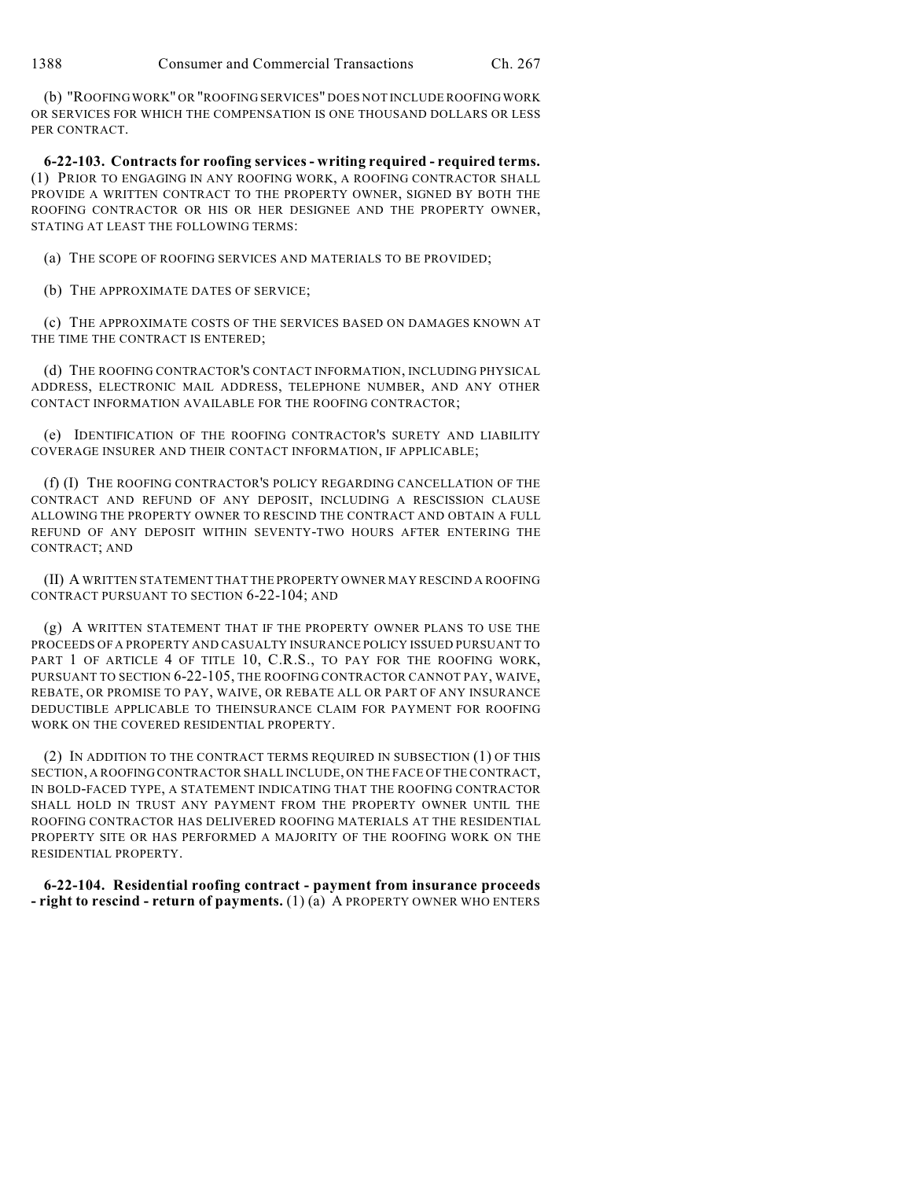(b) "ROOFING WORK" OR "ROOFING SERVICES" DOES NOT INCLUDE ROOFING WORK OR SERVICES FOR WHICH THE COMPENSATION IS ONE THOUSAND DOLLARS OR LESS PER CONTRACT.

**6-22-103. Contracts for roofing services - writing required - required terms.** (1) PRIOR TO ENGAGING IN ANY ROOFING WORK, A ROOFING CONTRACTOR SHALL PROVIDE A WRITTEN CONTRACT TO THE PROPERTY OWNER, SIGNED BY BOTH THE ROOFING CONTRACTOR OR HIS OR HER DESIGNEE AND THE PROPERTY OWNER, STATING AT LEAST THE FOLLOWING TERMS:

(a) THE SCOPE OF ROOFING SERVICES AND MATERIALS TO BE PROVIDED;

(b) THE APPROXIMATE DATES OF SERVICE;

(c) THE APPROXIMATE COSTS OF THE SERVICES BASED ON DAMAGES KNOWN AT THE TIME THE CONTRACT IS ENTERED;

(d) THE ROOFING CONTRACTOR'S CONTACT INFORMATION, INCLUDING PHYSICAL ADDRESS, ELECTRONIC MAIL ADDRESS, TELEPHONE NUMBER, AND ANY OTHER CONTACT INFORMATION AVAILABLE FOR THE ROOFING CONTRACTOR;

(e) IDENTIFICATION OF THE ROOFING CONTRACTOR'S SURETY AND LIABILITY COVERAGE INSURER AND THEIR CONTACT INFORMATION, IF APPLICABLE;

(f) (I) THE ROOFING CONTRACTOR'S POLICY REGARDING CANCELLATION OF THE CONTRACT AND REFUND OF ANY DEPOSIT, INCLUDING A RESCISSION CLAUSE ALLOWING THE PROPERTY OWNER TO RESCIND THE CONTRACT AND OBTAIN A FULL REFUND OF ANY DEPOSIT WITHIN SEVENTY-TWO HOURS AFTER ENTERING THE CONTRACT; AND

(II) A WRITTEN STATEMENT THAT THE PROPERTY OWNER MAY RESCIND A ROOFING CONTRACT PURSUANT TO SECTION 6-22-104; AND

(g) A WRITTEN STATEMENT THAT IF THE PROPERTY OWNER PLANS TO USE THE PROCEEDS OF A PROPERTY AND CASUALTY INSURANCE POLICY ISSUED PURSUANT TO PART 1 OF ARTICLE 4 OF TITLE 10, C.R.S., TO PAY FOR THE ROOFING WORK, PURSUANT TO SECTION 6-22-105, THE ROOFING CONTRACTOR CANNOT PAY, WAIVE, REBATE, OR PROMISE TO PAY, WAIVE, OR REBATE ALL OR PART OF ANY INSURANCE DEDUCTIBLE APPLICABLE TO THEINSURANCE CLAIM FOR PAYMENT FOR ROOFING WORK ON THE COVERED RESIDENTIAL PROPERTY.

(2) IN ADDITION TO THE CONTRACT TERMS REQUIRED IN SUBSECTION (1) OF THIS SECTION, A ROOFING CONTRACTOR SHALL INCLUDE, ON THE FACE OF THE CONTRACT, IN BOLD-FACED TYPE, A STATEMENT INDICATING THAT THE ROOFING CONTRACTOR SHALL HOLD IN TRUST ANY PAYMENT FROM THE PROPERTY OWNER UNTIL THE ROOFING CONTRACTOR HAS DELIVERED ROOFING MATERIALS AT THE RESIDENTIAL PROPERTY SITE OR HAS PERFORMED A MAJORITY OF THE ROOFING WORK ON THE RESIDENTIAL PROPERTY.

**6-22-104. Residential roofing contract - payment from insurance proceeds - right to rescind - return of payments.** (1) (a) A PROPERTY OWNER WHO ENTERS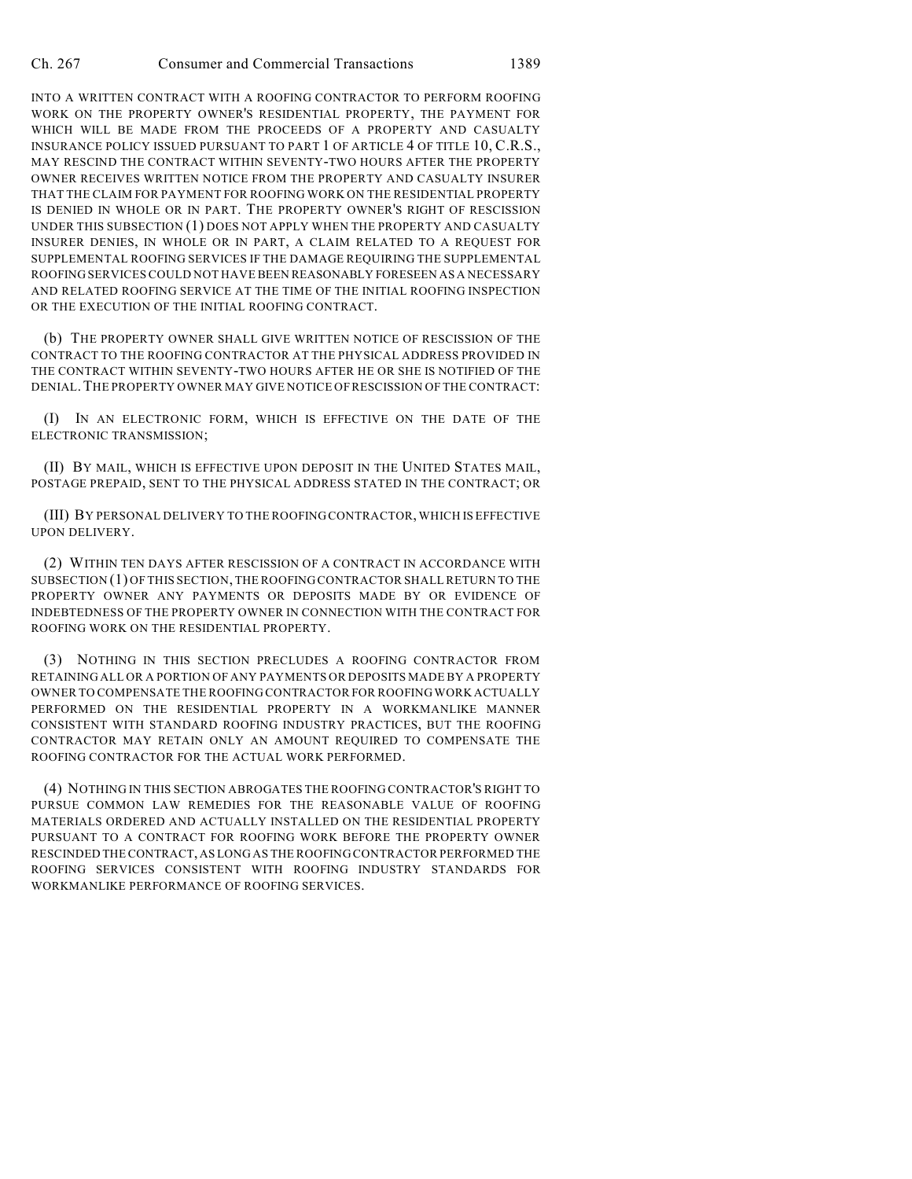INTO A WRITTEN CONTRACT WITH A ROOFING CONTRACTOR TO PERFORM ROOFING WORK ON THE PROPERTY OWNER'S RESIDENTIAL PROPERTY, THE PAYMENT FOR WHICH WILL BE MADE FROM THE PROCEEDS OF A PROPERTY AND CASUALTY INSURANCE POLICY ISSUED PURSUANT TO PART 1 OF ARTICLE 4 OF TITLE 10, C.R.S., MAY RESCIND THE CONTRACT WITHIN SEVENTY-TWO HOURS AFTER THE PROPERTY OWNER RECEIVES WRITTEN NOTICE FROM THE PROPERTY AND CASUALTY INSURER THAT THE CLAIM FOR PAYMENT FOR ROOFING WORK ON THE RESIDENTIAL PROPERTY IS DENIED IN WHOLE OR IN PART. THE PROPERTY OWNER'S RIGHT OF RESCISSION UNDER THIS SUBSECTION (1) DOES NOT APPLY WHEN THE PROPERTY AND CASUALTY INSURER DENIES, IN WHOLE OR IN PART, A CLAIM RELATED TO A REQUEST FOR SUPPLEMENTAL ROOFING SERVICES IF THE DAMAGE REQUIRING THE SUPPLEMENTAL ROOFING SERVICES COULD NOT HAVE BEEN REASONABLY FORESEEN AS A NECESSARY AND RELATED ROOFING SERVICE AT THE TIME OF THE INITIAL ROOFING INSPECTION OR THE EXECUTION OF THE INITIAL ROOFING CONTRACT.

(b) THE PROPERTY OWNER SHALL GIVE WRITTEN NOTICE OF RESCISSION OF THE CONTRACT TO THE ROOFING CONTRACTOR AT THE PHYSICAL ADDRESS PROVIDED IN THE CONTRACT WITHIN SEVENTY-TWO HOURS AFTER HE OR SHE IS NOTIFIED OF THE DENIAL.THE PROPERTY OWNER MAY GIVE NOTICE OF RESCISSION OF THE CONTRACT:

(I) IN AN ELECTRONIC FORM, WHICH IS EFFECTIVE ON THE DATE OF THE ELECTRONIC TRANSMISSION;

(II) BY MAIL, WHICH IS EFFECTIVE UPON DEPOSIT IN THE UNITED STATES MAIL, POSTAGE PREPAID, SENT TO THE PHYSICAL ADDRESS STATED IN THE CONTRACT; OR

(III) BY PERSONAL DELIVERY TO THE ROOFING CONTRACTOR, WHICH IS EFFECTIVE UPON DELIVERY.

(2) WITHIN TEN DAYS AFTER RESCISSION OF A CONTRACT IN ACCORDANCE WITH SUBSECTION (1) OF THIS SECTION, THE ROOFING CONTRACTOR SHALL RETURN TO THE PROPERTY OWNER ANY PAYMENTS OR DEPOSITS MADE BY OR EVIDENCE OF INDEBTEDNESS OF THE PROPERTY OWNER IN CONNECTION WITH THE CONTRACT FOR ROOFING WORK ON THE RESIDENTIAL PROPERTY.

(3) NOTHING IN THIS SECTION PRECLUDES A ROOFING CONTRACTOR FROM RETAINING ALL OR A PORTION OF ANY PAYMENTS OR DEPOSITS MADE BY A PROPERTY OWNER TO COMPENSATE THE ROOFING CONTRACTOR FOR ROOFING WORK ACTUALLY PERFORMED ON THE RESIDENTIAL PROPERTY IN A WORKMANLIKE MANNER CONSISTENT WITH STANDARD ROOFING INDUSTRY PRACTICES, BUT THE ROOFING CONTRACTOR MAY RETAIN ONLY AN AMOUNT REQUIRED TO COMPENSATE THE ROOFING CONTRACTOR FOR THE ACTUAL WORK PERFORMED.

(4) NOTHING IN THIS SECTION ABROGATES THE ROOFING CONTRACTOR'S RIGHT TO PURSUE COMMON LAW REMEDIES FOR THE REASONABLE VALUE OF ROOFING MATERIALS ORDERED AND ACTUALLY INSTALLED ON THE RESIDENTIAL PROPERTY PURSUANT TO A CONTRACT FOR ROOFING WORK BEFORE THE PROPERTY OWNER RESCINDED THECONTRACT, AS LONG AS THE ROOFING CONTRACTOR PERFORMED THE ROOFING SERVICES CONSISTENT WITH ROOFING INDUSTRY STANDARDS FOR WORKMANLIKE PERFORMANCE OF ROOFING SERVICES.